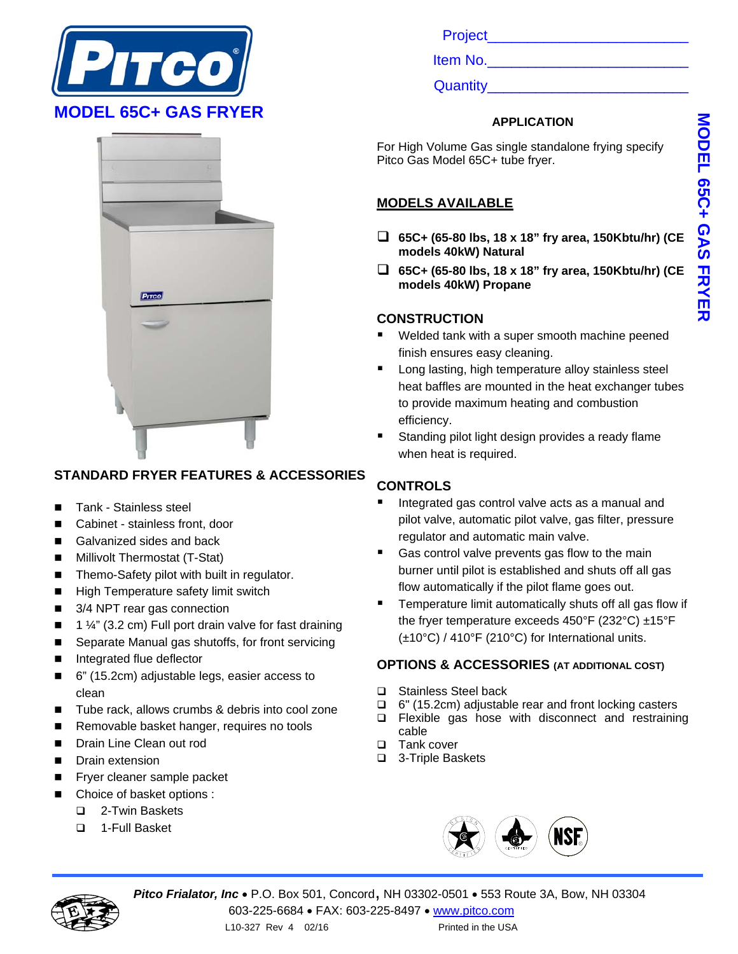



### **STANDARD FRYER FEATURES & ACCESSORIES**

- Tank Stainless steel
- Cabinet stainless front, door
- Galvanized sides and back
- Millivolt Thermostat (T-Stat)
- Themo-Safety pilot with built in regulator.
- High Temperature safety limit switch
- 3/4 NPT rear gas connection
- $\blacksquare$  1 ¼" (3.2 cm) Full port drain valve for fast draining
- Separate Manual gas shutoffs, for front servicing
- Integrated flue deflector
- 6" (15.2cm) adjustable legs, easier access to clean
- Tube rack, allows crumbs & debris into cool zone
- Removable basket hanger, requires no tools
- **Drain Line Clean out rod**
- **Drain extension**
- Fryer cleaner sample packet
- Choice of basket options :
	- 2-Twin Baskets
	- 1-Full Basket

Project\_\_\_\_\_\_\_\_\_\_\_\_\_\_\_\_\_\_\_\_\_\_\_\_\_

Item No.

Quantity

#### **APPLICATION**

For High Volume Gas single standalone frying specify Pitco Gas Model 65C+ tube fryer.

## **MODELS AVAILABLE**

- **65C+ (65-80 lbs, 18 x 18" fry area, 150Kbtu/hr) (CE models 40kW) Natural**
- **65C+ (65-80 lbs, 18 x 18" fry area, 150Kbtu/hr) (CE models 40kW) Propane**

### **CONSTRUCTION**

- Welded tank with a super smooth machine peened finish ensures easy cleaning.
- Long lasting, high temperature alloy stainless steel heat baffles are mounted in the heat exchanger tubes to provide maximum heating and combustion efficiency.
- Standing pilot light design provides a ready flame when heat is required.

## **CONTROLS**

- Integrated gas control valve acts as a manual and pilot valve, automatic pilot valve, gas filter, pressure regulator and automatic main valve.
- Gas control valve prevents gas flow to the main burner until pilot is established and shuts off all gas flow automatically if the pilot flame goes out.
- Temperature limit automatically shuts off all gas flow if the fryer temperature exceeds 450°F (232°C) ±15°F (±10°C) / 410°F (210°C) for International units.

### **OPTIONS & ACCESSORIES (AT ADDITIONAL COST)**

- □ Stainless Steel back
- □ 6" (15.2cm) adjustable rear and front locking casters
- $\square$  Flexible gas hose with disconnect and restraining cable
- □ Tank cover
- □ 3-Triple Baskets





**Pitco Frialator, Inc · P.O. Box 501, Concord, NH 03302-0501 · 553 Route 3A, Bow, NH 03304** 603-225-6684 FAX: 603-225-8497 www.pitco.com